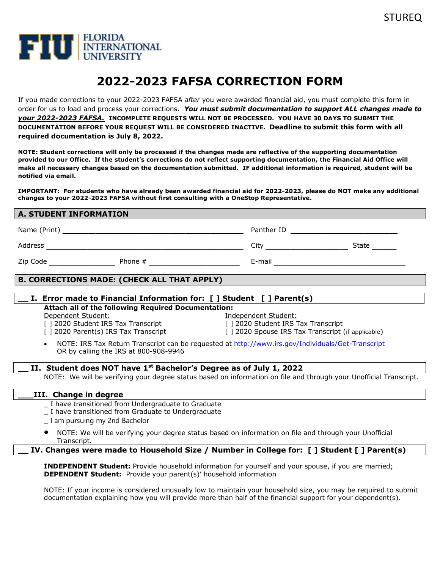

# **2022-2023 FAFSA CORRECTION FORM**

If you made corrections to your 2022-2023 FAFSA *after* you were awarded financial aid, you must complete this form in order for us to load and process your corrections. *You must submit documentation to support ALL changes made to your 2022-2023 FAFSA.* **INCOMPLETE REQUESTS WILL NOT BE PROCESSED. YOU HAVE 30 DAYS TO SUBMIT THE DOCUMENTATION BEFORE YOUR REQUEST WILL BE CONSIDERED INACTIVE. Deadline to submit this form with all required documentation is July 8, 2022.**

**NOTE: Student corrections will only be processed if the changes made are reflective of the supporting documentation provided to our Office. If the student's corrections do not reflect supporting documentation, the Financial Aid Office will make all necessary changes based on the documentation submitted. IF additional information is required, student will be notified via email.**

**IMPORTANT: For students who have already been awarded financial aid for 2022-2023, please do NOT make any additional changes to your 2022-2023 FAFSA without first consulting with a OneStop Representative.**

#### **A. STUDENT INFORMATION**

| Name (Print) |         | Panther ID |       |
|--------------|---------|------------|-------|
| Address      |         | City       | State |
| Zip Code     | Phone # | E-mail     |       |

#### **B. CORRECTIONS MADE: (CHECK ALL THAT APPLY)**

## **\_\_ I. Error made to Financial Information for: [ ] Student [ ] Parent(s) Attach all of the following Required Documentation:**

Dependent Student: Independent Student:

[ ] 2020 Student IRS Tax Transcript [ ] 2020 Student IRS Tax Transcript

[ ] 2020 Parent(s) IRS Tax Transcript [ ] 2020 Spouse IRS Tax Transcript (if applicable)

• NOTE: IRS Tax Return Transcript can be requested at <http://www.irs.gov/Individuals/Get-Transcript> OR by calling the IRS at 800-908-9946

## **\_\_ II. Student does NOT have 1st Bachelor's Degree as of July 1, 2022**

NOTE: We will be verifying your degree status based on information on file and through your Unofficial Transcript.

#### **\_\_\_III. Change in degree**

\_ I have transitioned from Undergraduate to Graduate

- \_ I have transitioned from Graduate to Undergraduate
- \_ I am pursuing my 2nd Bachelor
- NOTE: We will be verifying your degree status based on information on file and through your Unofficial Transcript.

**\_\_ IV. Changes were made to Household Size / Number in College for: [ ] Student [ ] Parent(s)**

**INDEPENDENT Student:** Provide household information for yourself and your spouse, if you are married; **DEPENDENT Student:** Provide your parent(s)' household information

NOTE: If your income is considered unusually low to maintain your household size, you may be required to submit documentation explaining how you will provide more than half of the financial support for your dependent(s).